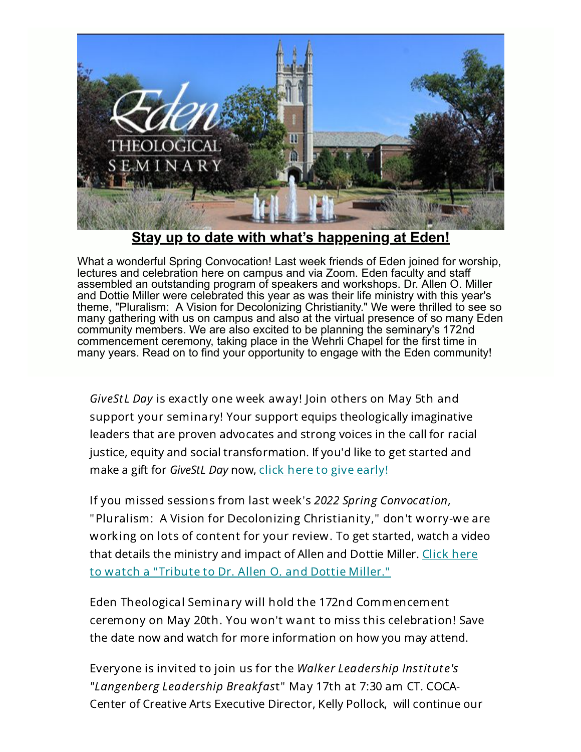

**[Stay up to date with what's happening at Eden!](https://www.eden.edu/)**

What a wonderful Spring Convocation! Last week friends of Eden joined for worship, lectures and celebration here on campus and via Zoom. Eden faculty and staff assembled an outstanding program of speakers and workshops. Dr. Allen O. Miller and Dottie Miller were celebrated this year as was their life ministry with this year's theme, "Pluralism: A Vision for Decolonizing Christianity." We were thrilled to see so many gathering with us on campus and also at the virtual presence of so many Eden community members. We are also excited to be planning the seminary's 172nd commencement ceremony, taking place in the Wehrli Chapel for the first time in many years. Read on to find your opportunity to engage with the Eden community!

GiveStL Day is exactly one week away! Join others on May 5th and support your seminary! Your support equips theologically imaginative leaders that are proven advocates and strong voices in the call for racial justice, equity and social transformation. If you'd like to get started and make a gift for GiveStL Day now, click here to give [early!](https://www.givestlday.org/eden)

If you missed sessions from last week's 2022 Spring Convocation, "Pluralism: A Vision for Decolonizing Christianity," don't worry-we are working on lots of content for your review. To get started, watch a video that details the ministry and impact of Allen and Dottie Miller. Click here to watch a ["Tribute](https://www.youtube.com/watch?v=K5V8cjvAJ-A) to Dr. Allen O. and Dottie Miller."

Eden Theological Seminary will hold the 172nd Commencement ceremony on May 20th. You won't want to miss this celebration! Save the date now and watch for more information on how you may attend.

Everyone is invited to join us for the Walker Leadership Institute's "Langenberg Leadership Breakfast" May 17th at 7:30 am CT. COCA-Center of Creative Arts Executive Director, Kelly Pollock, will continue our